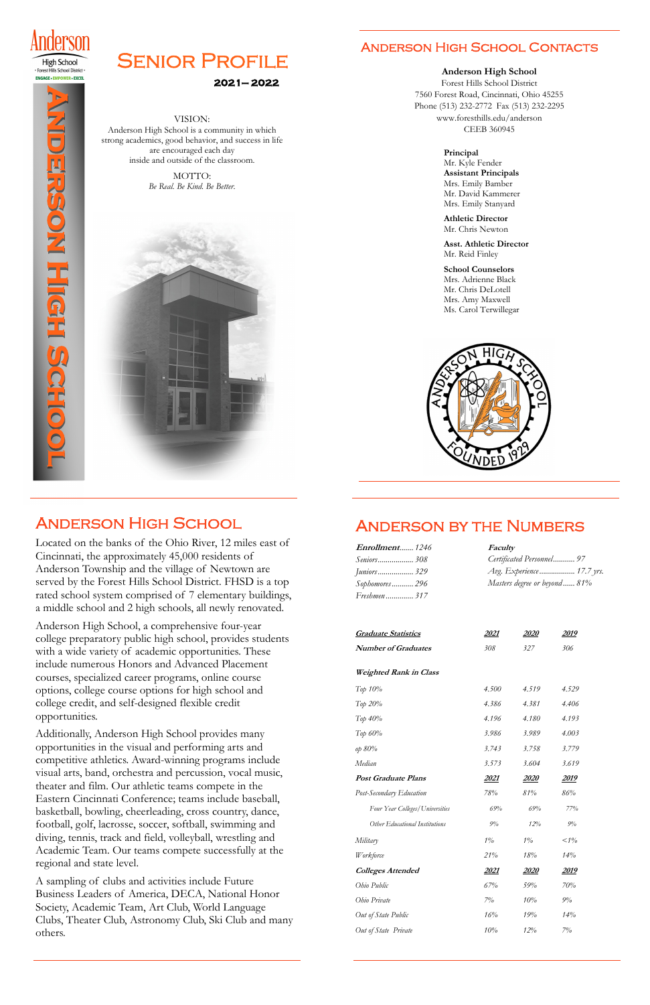

**High School** · Forest Hills School District · **ENGAGE · EMPOWER · EXCEL** 



# **SENIOR PROFILE**

### **2021— 2022**

#### VISION:

Anderson High School is a community in which strong academics, good behavior, and success in life are encouraged each day inside and outside of the classroom.

> MOTTO: *Be Real. Be Kind. Be Better.*



# Anderson High School

Located on the banks of the Ohio River, 12 miles east of Cincinnati, the approximately 45,000 residents of Anderson Township and the village of Newtown are served by the Forest Hills School District. FHSD is a top rated school system comprised of 7 elementary buildings, a middle school and 2 high schools, all newly renovated.

Anderson High School, a comprehensive four-year college preparatory public high school, provides students with a wide variety of academic opportunities. These include numerous Honors and Advanced Placement courses, specialized career programs, online course options, college course options for high school and college credit, and self-designed flexible credit opportunities.

Additionally, Anderson High School provides many

opportunities in the visual and performing arts and competitive athletics. Award-winning programs include visual arts, band, orchestra and percussion, vocal music, theater and film. Our athletic teams compete in the Eastern Cincinnati Conference; teams include baseball, basketball, bowling, cheerleading, cross country, dance, football, golf, lacrosse, soccer, softball, swimming and diving, tennis, track and field, volleyball, wrestling and Academic Team. Our teams compete successfully at the regional and state level.

A sampling of clubs and activities include Future Business Leaders of America, DECA, National Honor Society, Academic Team, Art Club, World Language Clubs, Theater Club, Astronomy Club, Ski Club and many others.

# Anderson by the Numbers

| Enrollment1246                  | Faculty                   |              |                              |  |
|---------------------------------|---------------------------|--------------|------------------------------|--|
| Seniors 308                     | Certificated Personnel 97 |              |                              |  |
| <i>Juniors</i> 329              | Avg. Experience 17.7 yrs. |              |                              |  |
| Sophomores 296                  |                           |              | Masters degree or beyond 81% |  |
| Freshmen 317                    |                           |              |                              |  |
|                                 |                           |              |                              |  |
| <b>Graduate Statistics</b>      | <u> 2021</u>              | <u> 2020</u> | <u> 2019</u>                 |  |
| <b>Number of Graduates</b>      | 308                       | 327          | 306                          |  |
| <b>Weighted Rank in Class</b>   |                           |              |                              |  |
| Тор 10%                         | 4.500                     | 4.519        | 4.529                        |  |
| Тор 20%                         | 4.386                     | 4.381        | 4.406                        |  |
| $Top\,40\%$                     | 4.196                     | 4.180        | 4.193                        |  |
| Top 60%                         | 3.986                     | 3.989        | 4.003                        |  |
| op 80%                          | 3.743                     | 3.758        | 3.779                        |  |
| Median                          | 3.573                     | 3.604        | 3.619                        |  |
| <b>Post Graduate Plans</b>      | <u> 2021 </u>             | <i>2020</i>  | <u> 2019 </u>                |  |
| Post-Secondary Education        | 78%                       | 81%          | 86%                          |  |
| Four Year Colleges/Universities | 69%                       | 69%          | 77%                          |  |
| Other Educational Institutions  | 9%                        | 12%          | 9%                           |  |
| Military                        | $1\%$                     | $1\%$        | $1\%$                        |  |
| Workforce                       | 21%                       | 18%          | 14%                          |  |
| <b>Colleges Attended</b>        | 2021                      | <i>2020</i>  | 2019                         |  |
| Ohio Public                     | 67%                       | 59%          | 70%                          |  |
| Ohio Private                    | $7\%$                     | 10%          | 9%                           |  |
| Out of State Public             | 16%                       | 19%          | 14%                          |  |
| Out of State Private            | 10%                       | $12\%$       | 7%                           |  |

### Anderson High School Contacts

**Anderson High School** 

Forest Hills School District 7560 Forest Road, Cincinnati, Ohio 45255 Phone (513) 232-2772 Fax (513) 232-2295 www.foresthills.edu/anderson CEEB 360945

#### **Principal**  Mr. Kyle Fender **Assistant Principals** Mrs. Emily Bamber Mr. David Kammerer Mrs. Emily Stanyard

**Athletic Director**  Mr. Chris Newton

**Asst. Athletic Director**  Mr. Reid Finley

**School Counselors** Mrs. Adrienne Black Mr. Chris DeLotell Mrs. Amy Maxwell Ms. Carol Terwillegar